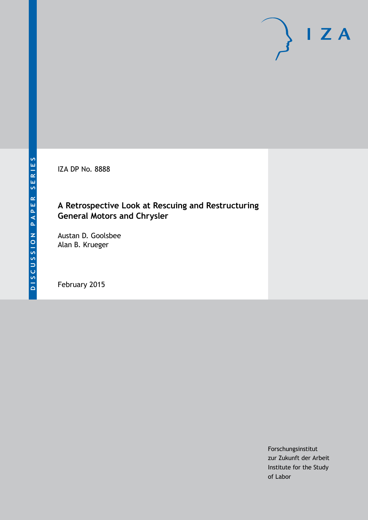IZA DP No. 8888

## **A Retrospective Look at Rescuing and Restructuring General Motors and Chrysler**

Austan D. Goolsbee Alan B. Krueger

February 2015

Forschungsinstitut zur Zukunft der Arbeit Institute for the Study of Labor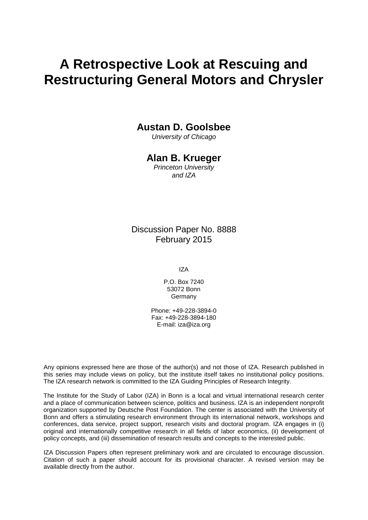# **A Retrospective Look at Rescuing and Restructuring General Motors and Chrysler**

### **Austan D. Goolsbee**

*University of Chicago*

### **Alan B. Krueger**

*Princeton University and IZA*

Discussion Paper No. 8888 February 2015

IZA

P.O. Box 7240 53072 Bonn Germany

Phone: +49-228-3894-0 Fax: +49-228-3894-180 E-mail: [iza@iza.org](mailto:iza@iza.org)

Any opinions expressed here are those of the author(s) and not those of IZA. Research published in this series may include views on policy, but the institute itself takes no institutional policy positions. The IZA research network is committed to the IZA Guiding Principles of Research Integrity.

The Institute for the Study of Labor (IZA) in Bonn is a local and virtual international research center and a place of communication between science, politics and business. IZA is an independent nonprofit organization supported by Deutsche Post Foundation. The center is associated with the University of Bonn and offers a stimulating research environment through its international network, workshops and conferences, data service, project support, research visits and doctoral program. IZA engages in (i) original and internationally competitive research in all fields of labor economics, (ii) development of policy concepts, and (iii) dissemination of research results and concepts to the interested public.

<span id="page-1-0"></span>IZA Discussion Papers often represent preliminary work and are circulated to encourage discussion. Citation of such a paper should account for its provisional character. A revised version may be available directly from the author.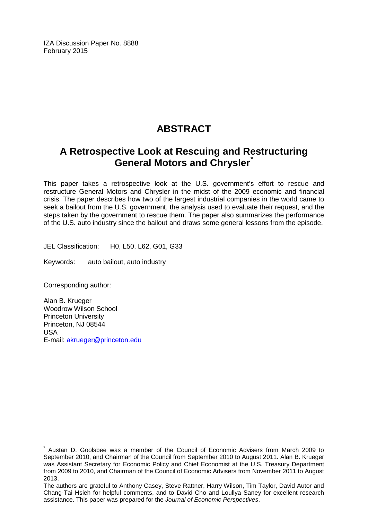IZA Discussion Paper No. 8888 February 2015

# **ABSTRACT**

# **A Retrospective Look at Rescuing and Restructuring General Motors and Chrysler[\\*](#page-1-0)**

This paper takes a retrospective look at the U.S. government's effort to rescue and restructure General Motors and Chrysler in the midst of the 2009 economic and financial crisis. The paper describes how two of the largest industrial companies in the world came to seek a bailout from the U.S. government, the analysis used to evaluate their request, and the steps taken by the government to rescue them. The paper also summarizes the performance of the U.S. auto industry since the bailout and draws some general lessons from the episode.

JEL Classification: H0, L50, L62, G01, G33

Keywords: auto bailout, auto industry

Corresponding author:

Alan B. Krueger Woodrow Wilson School Princeton University Princeton, NJ 08544 USA E-mail: [akrueger@princeton.edu](mailto:akrueger@princeton.edu)

Austan D. Goolsbee was a member of the Council of Economic Advisers from March 2009 to September 2010, and Chairman of the Council from September 2010 to August 2011. Alan B. Krueger was Assistant Secretary for Economic Policy and Chief Economist at the U.S. Treasury Department from 2009 to 2010, and Chairman of the Council of Economic Advisers from November 2011 to August 2013.

The authors are grateful to Anthony Casey, Steve Rattner, Harry Wilson, Tim Taylor, David Autor and Chang-Tai Hsieh for helpful comments, and to David Cho and Loullya Saney for excellent research assistance. This paper was prepared for the *Journal of Economic Perspectives*.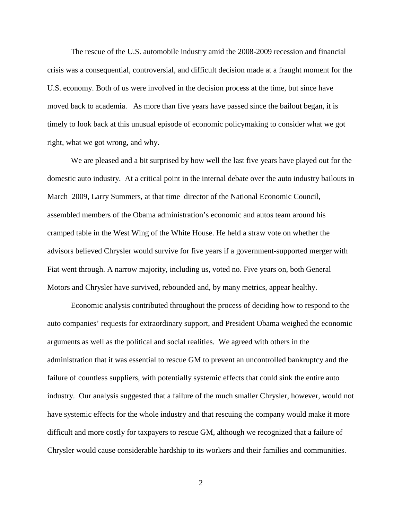The rescue of the U.S. automobile industry amid the 2008-2009 recession and financial crisis was a consequential, controversial, and difficult decision made at a fraught moment for the U.S. economy. Both of us were involved in the decision process at the time, but since have moved back to academia. As more than five years have passed since the bailout began, it is timely to look back at this unusual episode of economic policymaking to consider what we got right, what we got wrong, and why.

We are pleased and a bit surprised by how well the last five years have played out for the domestic auto industry. At a critical point in the internal debate over the auto industry bailouts in March 2009, Larry Summers, at that time director of the National Economic Council, assembled members of the Obama administration's economic and autos team around his cramped table in the West Wing of the White House. He held a straw vote on whether the advisors believed Chrysler would survive for five years if a government-supported merger with Fiat went through. A narrow majority, including us, voted no. Five years on, both General Motors and Chrysler have survived, rebounded and, by many metrics, appear healthy.

Economic analysis contributed throughout the process of deciding how to respond to the auto companies' requests for extraordinary support, and President Obama weighed the economic arguments as well as the political and social realities. We agreed with others in the administration that it was essential to rescue GM to prevent an uncontrolled bankruptcy and the failure of countless suppliers, with potentially systemic effects that could sink the entire auto industry. Our analysis suggested that a failure of the much smaller Chrysler, however, would not have systemic effects for the whole industry and that rescuing the company would make it more difficult and more costly for taxpayers to rescue GM, although we recognized that a failure of Chrysler would cause considerable hardship to its workers and their families and communities.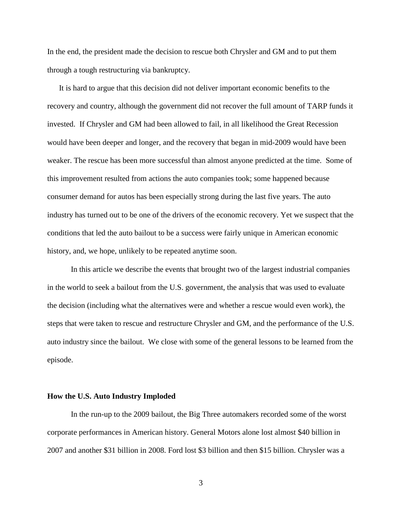In the end, the president made the decision to rescue both Chrysler and GM and to put them through a tough restructuring via bankruptcy.

It is hard to argue that this decision did not deliver important economic benefits to the recovery and country, although the government did not recover the full amount of TARP funds it invested. If Chrysler and GM had been allowed to fail, in all likelihood the Great Recession would have been deeper and longer, and the recovery that began in mid-2009 would have been weaker. The rescue has been more successful than almost anyone predicted at the time. Some of this improvement resulted from actions the auto companies took; some happened because consumer demand for autos has been especially strong during the last five years. The auto industry has turned out to be one of the drivers of the economic recovery. Yet we suspect that the conditions that led the auto bailout to be a success were fairly unique in American economic history, and, we hope, unlikely to be repeated anytime soon.

In this article we describe the events that brought two of the largest industrial companies in the world to seek a bailout from the U.S. government, the analysis that was used to evaluate the decision (including what the alternatives were and whether a rescue would even work), the steps that were taken to rescue and restructure Chrysler and GM, and the performance of the U.S. auto industry since the bailout. We close with some of the general lessons to be learned from the episode.

#### **How the U.S. Auto Industry Imploded**

In the run-up to the 2009 bailout, the Big Three automakers recorded some of the worst corporate performances in American history. General Motors alone lost almost \$40 billion in 2007 and another \$31 billion in 2008. Ford lost \$3 billion and then \$15 billion. Chrysler was a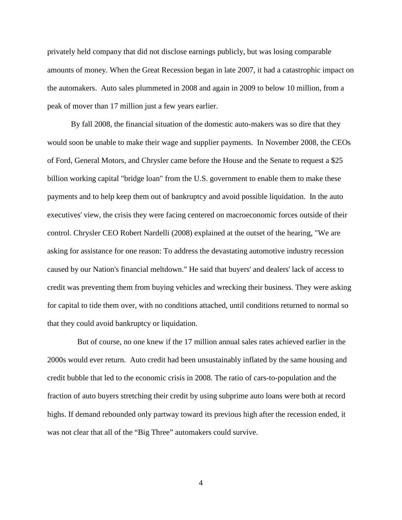privately held company that did not disclose earnings publicly, but was losing comparable amounts of money. When the Great Recession began in late 2007, it had a catastrophic impact on the automakers. Auto sales plummeted in 2008 and again in 2009 to below 10 million, from a peak of mover than 17 million just a few years earlier.

By fall 2008, the financial situation of the domestic auto-makers was so dire that they would soon be unable to make their wage and supplier payments. In November 2008, the CEOs of Ford, General Motors, and Chrysler came before the House and the Senate to request a \$25 billion working capital "bridge loan" from the U.S. government to enable them to make these payments and to help keep them out of bankruptcy and avoid possible liquidation. In the auto executives' view, the crisis they were facing centered on macroeconomic forces outside of their control. Chrysler CEO Robert Nardelli (2008) explained at the outset of the hearing, "We are asking for assistance for one reason: To address the devastating automotive industry recession caused by our Nation's financial meltdown." He said that buyers' and dealers' lack of access to credit was preventing them from buying vehicles and wrecking their business. They were asking for capital to tide them over, with no conditions attached, until conditions returned to normal so that they could avoid bankruptcy or liquidation.

But of course, no one knew if the 17 million annual sales rates achieved earlier in the 2000s would ever return. Auto credit had been unsustainably inflated by the same housing and credit bubble that led to the economic crisis in 2008. The ratio of cars-to-population and the fraction of auto buyers stretching their credit by using subprime auto loans were both at record highs. If demand rebounded only partway toward its previous high after the recession ended, it was not clear that all of the "Big Three" automakers could survive.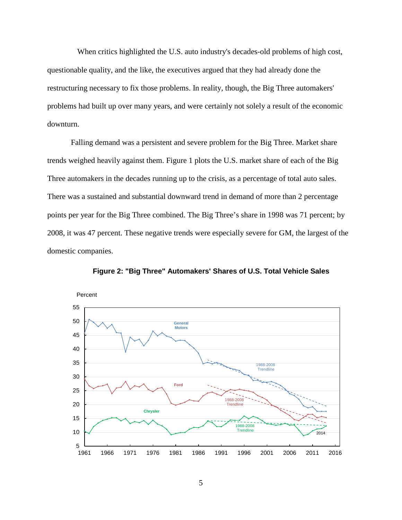When critics highlighted the U.S. auto industry's decades-old problems of high cost, questionable quality, and the like, the executives argued that they had already done the restructuring necessary to fix those problems. In reality, though, the Big Three automakers' problems had built up over many years, and were certainly not solely a result of the economic downturn.

Falling demand was a persistent and severe problem for the Big Three. Market share trends weighed heavily against them. Figure 1 plots the U.S. market share of each of the Big Three automakers in the decades running up to the crisis, as a percentage of total auto sales. There was a sustained and substantial downward trend in demand of more than 2 percentage points per year for the Big Three combined. The Big Three's share in 1998 was 71 percent; by 2008, it was 47 percent. These negative trends were especially severe for GM, the largest of the domestic companies.



**Figure 2: "Big Three" Automakers' Shares of U.S. Total Vehicle Sales**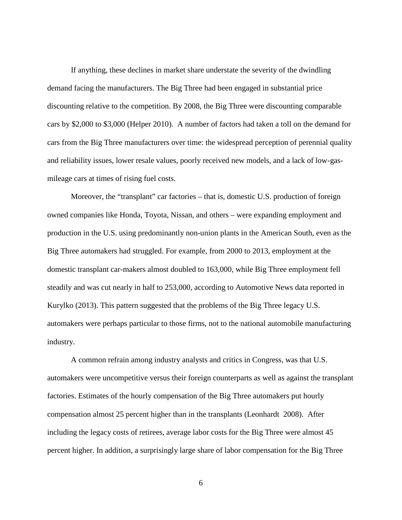If anything, these declines in market share understate the severity of the dwindling demand facing the manufacturers. The Big Three had been engaged in substantial price discounting relative to the competition. By 2008, the Big Three were discounting comparable cars by \$2,000 to \$3,000 (Helper 2010). A number of factors had taken a toll on the demand for cars from the Big Three manufacturers over time: the widespread perception of perennial quality and reliability issues, lower resale values, poorly received new models, and a lack of low-gasmileage cars at times of rising fuel costs.

Moreover, the "transplant" car factories – that is, domestic U.S. production of foreign owned companies like Honda, Toyota, Nissan, and others – were expanding employment and production in the U.S. using predominantly non-union plants in the American South, even as the Big Three automakers had struggled. For example, from 2000 to 2013, employment at the domestic transplant car-makers almost doubled to 163,000, while Big Three employment fell steadily and was cut nearly in half to 253,000, according to Automotive News data reported in Kurylko (2013). This pattern suggested that the problems of the Big Three legacy U.S. automakers were perhaps particular to those firms, not to the national automobile manufacturing industry.

A common refrain among industry analysts and critics in Congress, was that U.S. automakers were uncompetitive versus their foreign counterparts as well as against the transplant factories. Estimates of the hourly compensation of the Big Three automakers put hourly compensation almost 25 percent higher than in the transplants (Leonhardt 2008). After including the legacy costs of retirees, average labor costs for the Big Three were almost 45 percent higher. In addition, a surprisingly large share of labor compensation for the Big Three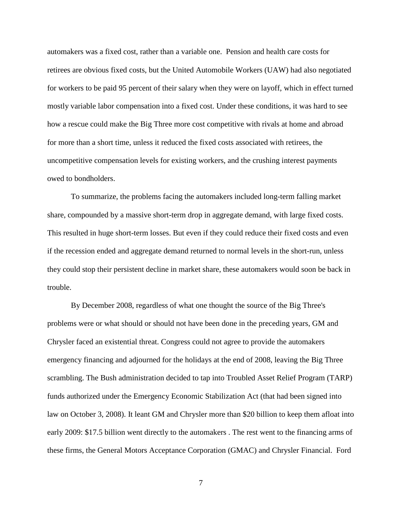automakers was a fixed cost, rather than a variable one. Pension and health care costs for retirees are obvious fixed costs, but the United Automobile Workers (UAW) had also negotiated for workers to be paid 95 percent of their salary when they were on layoff, which in effect turned mostly variable labor compensation into a fixed cost. Under these conditions, it was hard to see how a rescue could make the Big Three more cost competitive with rivals at home and abroad for more than a short time, unless it reduced the fixed costs associated with retirees, the uncompetitive compensation levels for existing workers, and the crushing interest payments owed to bondholders.

To summarize, the problems facing the automakers included long-term falling market share, compounded by a massive short-term drop in aggregate demand, with large fixed costs. This resulted in huge short-term losses. But even if they could reduce their fixed costs and even if the recession ended and aggregate demand returned to normal levels in the short-run, unless they could stop their persistent decline in market share, these automakers would soon be back in trouble.

By December 2008, regardless of what one thought the source of the Big Three's problems were or what should or should not have been done in the preceding years, GM and Chrysler faced an existential threat. Congress could not agree to provide the automakers emergency financing and adjourned for the holidays at the end of 2008, leaving the Big Three scrambling. The Bush administration decided to tap into Troubled Asset Relief Program (TARP) funds authorized under the [Emergency Economic Stabilization Act \(that had been signed into](http://en.wikipedia.org/wiki/Emergency_Economic_Stabilization_Act_of_2008)  [law on October 3, 2008\)](http://en.wikipedia.org/wiki/Emergency_Economic_Stabilization_Act_of_2008). It leant GM and Chrysler more than \$20 billion to keep them afloat into early 2009: \$17.5 billion went directly to the automakers . The rest went to the financing arms of these firms, the General Motors Acceptance Corporation (GMAC) and Chrysler Financial. Ford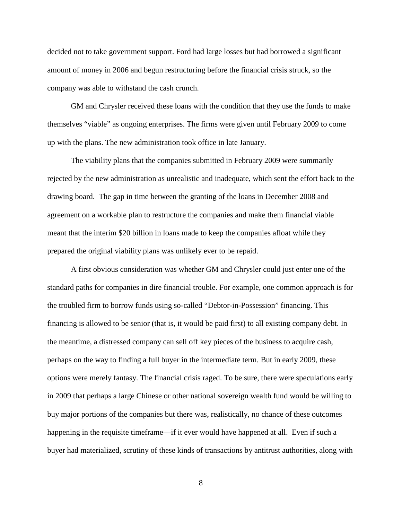decided not to take government support. Ford had large losses but had borrowed a significant amount of money in 2006 and begun restructuring before the financial crisis struck, so the company was able to withstand the cash crunch.

GM and Chrysler received these loans with the condition that they use the funds to make themselves "viable" as ongoing enterprises. The firms were given until February 2009 to come up with the plans. The new administration took office in late January.

The viability plans that the companies submitted in February 2009 were summarily rejected by the new administration as unrealistic and inadequate, which sent the effort back to the drawing board. The gap in time between the granting of the loans in December 2008 and agreement on a workable plan to restructure the companies and make them financial viable meant that the interim \$20 billion in loans made to keep the companies afloat while they prepared the original viability plans was unlikely ever to be repaid.

A first obvious consideration was whether GM and Chrysler could just enter one of the standard paths for companies in dire financial trouble. For example, one common approach is for the troubled firm to borrow funds using so-called "Debtor-in-Possession" financing. This financing is allowed to be senior (that is, it would be paid first) to all existing company debt. In the meantime, a distressed company can sell off key pieces of the business to acquire cash, perhaps on the way to finding a full buyer in the intermediate term. But in early 2009, these options were merely fantasy. The financial crisis raged. To be sure, there were speculations early in 2009 that perhaps a large Chinese or other national sovereign wealth fund would be willing to buy major portions of the companies but there was, realistically, no chance of these outcomes happening in the requisite timeframe—if it ever would have happened at all. Even if such a buyer had materialized, scrutiny of these kinds of transactions by antitrust authorities, along with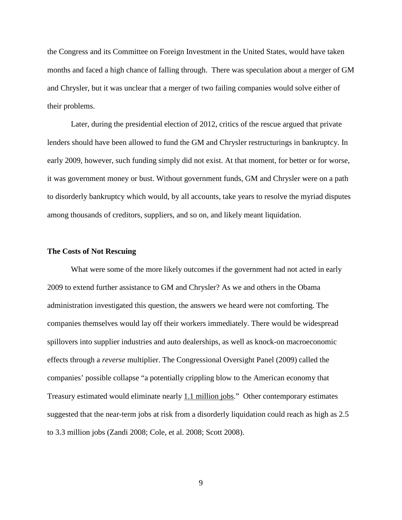the Congress and its Committee on Foreign Investment in the United States, would have taken months and faced a high chance of falling through. There was speculation about a merger of GM and Chrysler, but it was unclear that a merger of two failing companies would solve either of their problems.

Later, during the presidential election of 2012, critics of the rescue argued that private lenders should have been allowed to fund the GM and Chrysler restructurings in bankruptcy. In early 2009, however, such funding simply did not exist. At that moment, for better or for worse, it was government money or bust. Without government funds, GM and Chrysler were on a path to disorderly bankruptcy which would, by all accounts, take years to resolve the myriad disputes among thousands of creditors, suppliers, and so on, and likely meant liquidation.

#### **The Costs of Not Rescuing**

What were some of the more likely outcomes if the government had not acted in early 2009 to extend further assistance to GM and Chrysler? As we and others in the Obama administration investigated this question, the answers we heard were not comforting. The companies themselves would lay off their workers immediately. There would be widespread spillovers into supplier industries and auto dealerships, as well as knock-on macroeconomic effects through a *reverse* multiplier. The Congressional Oversight Panel (2009) called the companies' possible collapse "a potentially crippling blow to the American economy that Treasury estimated would eliminate nearly 1.1 million jobs." Other contemporary estimates suggested that the near-term jobs at risk from a disorderly liquidation could reach as high as 2.5 to 3.3 million jobs (Zandi 2008; Cole, et al. 2008; Scott 2008).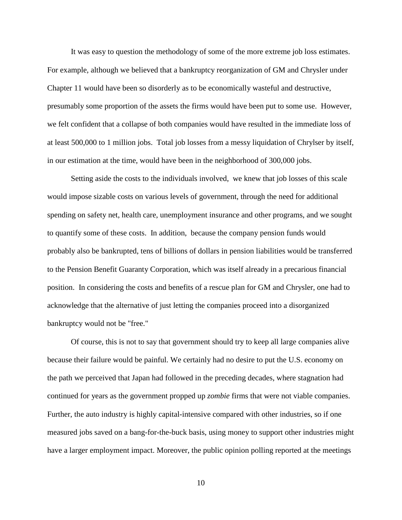It was easy to question the methodology of some of the more extreme job loss estimates. For example, although we believed that a bankruptcy reorganization of GM and Chrysler under Chapter 11 would have been so disorderly as to be economically wasteful and destructive, presumably some proportion of the assets the firms would have been put to some use. However, we felt confident that a collapse of both companies would have resulted in the immediate loss of at least 500,000 to 1 million jobs. Total job losses from a messy liquidation of Chrylser by itself, in our estimation at the time, would have been in the neighborhood of 300,000 jobs.

Setting aside the costs to the individuals involved, we knew that job losses of this scale would impose sizable costs on various levels of government, through the need for additional spending on safety net, health care, unemployment insurance and other programs, and we sought to quantify some of these costs. In addition, because the company pension funds would probably also be bankrupted, tens of billions of dollars in pension liabilities would be transferred to the Pension Benefit Guaranty Corporation, which was itself already in a precarious financial position. In considering the costs and benefits of a rescue plan for GM and Chrysler, one had to acknowledge that the alternative of just letting the companies proceed into a disorganized bankruptcy would not be "free."

Of course, this is not to say that government should try to keep all large companies alive because their failure would be painful. We certainly had no desire to put the U.S. economy on the path we perceived that Japan had followed in the preceding decades, where stagnation had continued for years as the government propped up *zombie* firms that were not viable companies. Further, the auto industry is highly capital-intensive compared with other industries, so if one measured jobs saved on a bang-for-the-buck basis, using money to support other industries might have a larger employment impact. Moreover, the public opinion polling reported at the meetings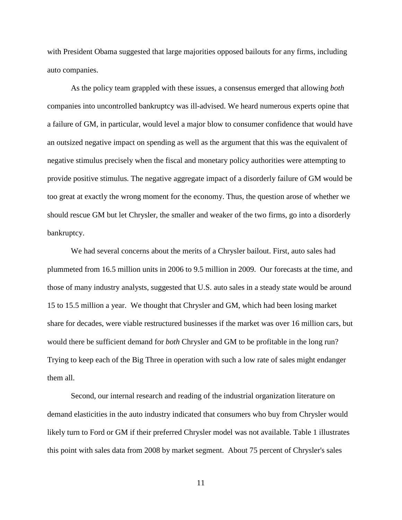with President Obama suggested that large majorities opposed bailouts for any firms, including auto companies.

As the policy team grappled with these issues, a consensus emerged that allowing *both* companies into uncontrolled bankruptcy was ill-advised. We heard numerous experts opine that a failure of GM, in particular, would level a major blow to consumer confidence that would have an outsized negative impact on spending as well as the argument that this was the equivalent of negative stimulus precisely when the fiscal and monetary policy authorities were attempting to provide positive stimulus. The negative aggregate impact of a disorderly failure of GM would be too great at exactly the wrong moment for the economy. Thus, the question arose of whether we should rescue GM but let Chrysler, the smaller and weaker of the two firms, go into a disorderly bankruptcy.

We had several concerns about the merits of a Chrysler bailout. First, auto sales had plummeted from 16.5 million units in 2006 to 9.5 million in 2009. Our forecasts at the time, and those of many industry analysts, suggested that U.S. auto sales in a steady state would be around 15 to 15.5 million a year. We thought that Chrysler and GM, which had been losing market share for decades, were viable restructured businesses if the market was over 16 million cars, but would there be sufficient demand for *both* Chrysler and GM to be profitable in the long run? Trying to keep each of the Big Three in operation with such a low rate of sales might endanger them all.

Second, our internal research and reading of the industrial organization literature on demand elasticities in the auto industry indicated that consumers who buy from Chrysler would likely turn to Ford or GM if their preferred Chrysler model was not available. Table 1 illustrates this point with sales data from 2008 by market segment. About 75 percent of Chrysler's sales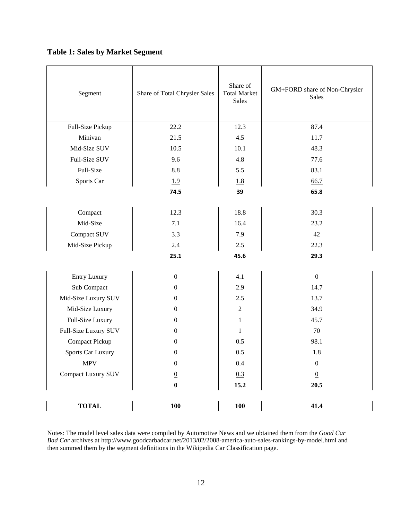**Table 1: Sales by Market Segment** 

| Segment                  | Share of Total Chrysler Sales | Share of<br><b>Total Market</b><br><b>Sales</b> | GM+FORD share of Non-Chrysler<br>Sales |  |
|--------------------------|-------------------------------|-------------------------------------------------|----------------------------------------|--|
| Full-Size Pickup         | 22.2                          | 12.3                                            | 87.4                                   |  |
| Minivan                  | 21.5                          | 4.5                                             | 11.7                                   |  |
| Mid-Size SUV             | 10.5                          | 10.1                                            | 48.3                                   |  |
| Full-Size SUV            | 9.6                           | 4.8                                             | 77.6                                   |  |
| Full-Size                | $8.8\,$                       | 5.5                                             | 83.1                                   |  |
| Sports Car               | 1.9                           | <u>1.8</u>                                      | 66.7                                   |  |
|                          | 74.5                          | 39                                              | 65.8                                   |  |
|                          |                               |                                                 |                                        |  |
| Compact                  | 12.3                          | 18.8                                            | 30.3                                   |  |
| Mid-Size                 | 7.1                           | 16.4                                            | 23.2                                   |  |
| Compact SUV              | 3.3                           | 7.9                                             | 42                                     |  |
| Mid-Size Pickup          | 2.4                           | 2.5                                             | 22.3                                   |  |
|                          | 25.1                          | 45.6                                            | 29.3                                   |  |
|                          |                               |                                                 |                                        |  |
| <b>Entry Luxury</b>      | $\mathbf{0}$                  | 4.1                                             | $\boldsymbol{0}$                       |  |
| Sub Compact              | $\overline{0}$                | 2.9                                             | 14.7                                   |  |
| Mid-Size Luxury SUV      | $\overline{0}$                | 2.5                                             | 13.7                                   |  |
| Mid-Size Luxury          | $\overline{0}$                | $\overline{2}$                                  | 34.9                                   |  |
| Full-Size Luxury         | $\overline{0}$                | $\mathbf{1}$                                    | 45.7                                   |  |
| Full-Size Luxury SUV     | $\overline{0}$                | $\mathbf{1}$                                    | 70                                     |  |
| <b>Compact Pickup</b>    | $\overline{0}$                | 0.5                                             | 98.1                                   |  |
| <b>Sports Car Luxury</b> | $\overline{0}$                | 0.5                                             | 1.8                                    |  |
| <b>MPV</b>               | $\boldsymbol{0}$              | 0.4                                             | $\boldsymbol{0}$                       |  |
| Compact Luxury SUV       | $\overline{0}$                | 0.3                                             | $\underline{0}$                        |  |
|                          | $\boldsymbol{0}$              | 15.2                                            | 20.5                                   |  |
| <b>TOTAL</b>             | 100                           | <b>100</b>                                      | 41.4                                   |  |

Notes: The model level sales data were compiled by Automotive News and we obtained them from the *Good Car Bad Car* archives at http://www.goodcarbadcar.net/2013/02/2008-america-auto-sales-rankings-by-model.html and then summed them by the segment definitions in the Wikipedia Car Classification page.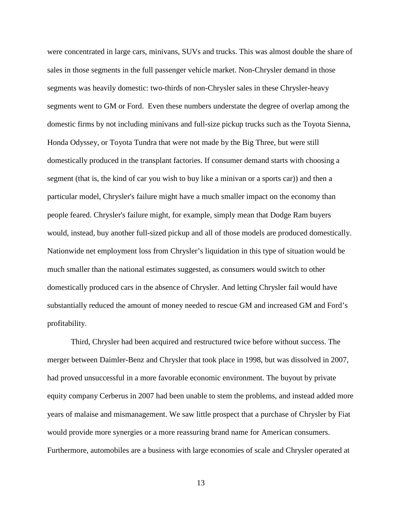were concentrated in large cars, minivans, SUVs and trucks. This was almost double the share of sales in those segments in the full passenger vehicle market. Non-Chrysler demand in those segments was heavily domestic: two-thirds of non-Chrysler sales in these Chrysler-heavy segments went to GM or Ford. Even these numbers understate the degree of overlap among the domestic firms by not including minivans and full-size pickup trucks such as the Toyota Sienna, Honda Odyssey, or Toyota Tundra that were not made by the Big Three, but were still domestically produced in the transplant factories. If consumer demand starts with choosing a segment (that is, the kind of car you wish to buy like a minivan or a sports car)) and then a particular model, Chrysler's failure might have a much smaller impact on the economy than people feared. Chrysler's failure might, for example, simply mean that Dodge Ram buyers would, instead, buy another full-sized pickup and all of those models are produced domestically. Nationwide net employment loss from Chrysler's liquidation in this type of situation would be much smaller than the national estimates suggested, as consumers would switch to other domestically produced cars in the absence of Chrysler. And letting Chrysler fail would have substantially reduced the amount of money needed to rescue GM and increased GM and Ford's profitability.

Third, Chrysler had been acquired and restructured twice before without success. The merger between Daimler-Benz and Chrysler that took place in 1998, but was dissolved in 2007, had proved unsuccessful in a more favorable economic environment. The buyout by private equity company Cerberus in 2007 had been unable to stem the problems, and instead added more years of malaise and mismanagement. We saw little prospect that a purchase of Chrysler by Fiat would provide more synergies or a more reassuring brand name for American consumers. Furthermore, automobiles are a business with large economies of scale and Chrysler operated at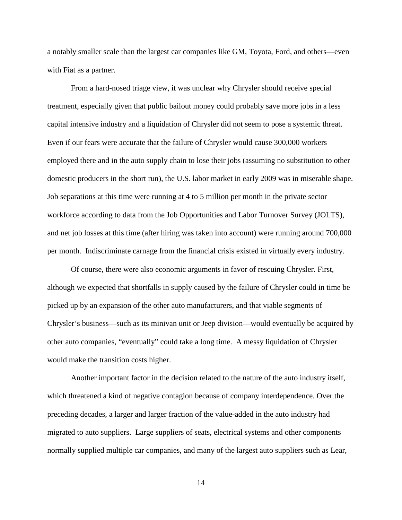a notably smaller scale than the largest car companies like GM, Toyota, Ford, and others—even with Fiat as a partner.

From a hard-nosed triage view, it was unclear why Chrysler should receive special treatment, especially given that public bailout money could probably save more jobs in a less capital intensive industry and a liquidation of Chrysler did not seem to pose a systemic threat. Even if our fears were accurate that the failure of Chrysler would cause 300,000 workers employed there and in the auto supply chain to lose their jobs (assuming no substitution to other domestic producers in the short run), the U.S. labor market in early 2009 was in miserable shape. Job separations at this time were running at 4 to 5 million per month in the private sector workforce according to data from the Job Opportunities and Labor Turnover Survey (JOLTS), and net job losses at this time (after hiring was taken into account) were running around 700,000 per month. Indiscriminate carnage from the financial crisis existed in virtually every industry.

Of course, there were also economic arguments in favor of rescuing Chrysler. First, although we expected that shortfalls in supply caused by the failure of Chrysler could in time be picked up by an expansion of the other auto manufacturers, and that viable segments of Chrysler's business—such as its minivan unit or Jeep division—would eventually be acquired by other auto companies, "eventually" could take a long time. A messy liquidation of Chrysler would make the transition costs higher.

Another important factor in the decision related to the nature of the auto industry itself, which threatened a kind of negative contagion because of company interdependence. Over the preceding decades, a larger and larger fraction of the value-added in the auto industry had migrated to auto suppliers. Large suppliers of seats, electrical systems and other components normally supplied multiple car companies, and many of the largest auto suppliers such as Lear,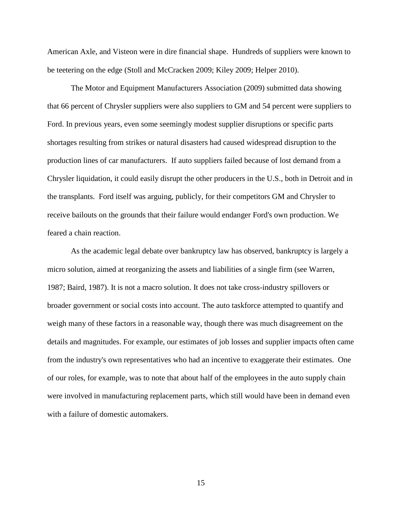American Axle, and Visteon were in dire financial shape. Hundreds of suppliers were known to be teetering on the edge (Stoll and McCracken 2009; Kiley 2009; Helper 2010).

The Motor and Equipment Manufacturers Association (2009) submitted data showing that 66 percent of Chrysler suppliers were also suppliers to GM and 54 percent were suppliers to Ford. In previous years, even some seemingly modest supplier disruptions or specific parts shortages resulting from strikes or natural disasters had caused widespread disruption to the production lines of car manufacturers. If auto suppliers failed because of lost demand from a Chrysler liquidation, it could easily disrupt the other producers in the U.S., both in Detroit and in the transplants. Ford itself was arguing, publicly, for their competitors GM and Chrysler to receive bailouts on the grounds that their failure would endanger Ford's own production. We feared a chain reaction.

As the academic legal debate over bankruptcy law has observed, bankruptcy is largely a micro solution, aimed at reorganizing the assets and liabilities of a single firm (see Warren, 1987; Baird, 1987). It is not a macro solution. It does not take cross-industry spillovers or broader government or social costs into account. The auto taskforce attempted to quantify and weigh many of these factors in a reasonable way, though there was much disagreement on the details and magnitudes. For example, our estimates of job losses and supplier impacts often came from the industry's own representatives who had an incentive to exaggerate their estimates. One of our roles, for example, was to note that about half of the employees in the auto supply chain were involved in manufacturing replacement parts, which still would have been in demand even with a failure of domestic automakers.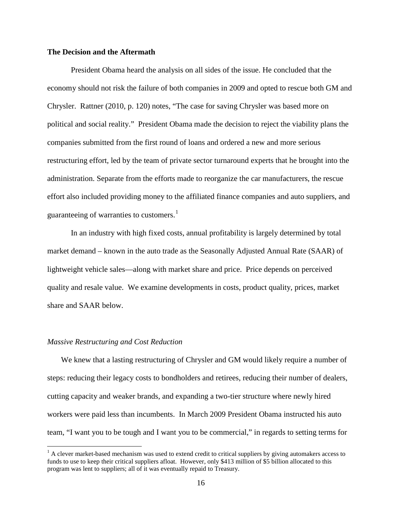#### **The Decision and the Aftermath**

President Obama heard the analysis on all sides of the issue. He concluded that the economy should not risk the failure of both companies in 2009 and opted to rescue both GM and Chrysler. Rattner (2010, p. 120) notes, "The case for saving Chrysler was based more on political and social reality." President Obama made the decision to reject the viability plans the companies submitted from the first round of loans and ordered a new and more serious restructuring effort, led by the team of private sector turnaround experts that he brought into the administration. Separate from the efforts made to reorganize the car manufacturers, the rescue effort also included providing money to the affiliated finance companies and auto suppliers, and guaranteeing of warranties to customers.<sup>1</sup>

In an industry with high fixed costs, annual profitability is largely determined by total market demand – known in the auto trade as the Seasonally Adjusted Annual Rate (SAAR) of lightweight vehicle sales—along with market share and price. Price depends on perceived quality and resale value. We examine developments in costs, product quality, prices, market share and SAAR below.

#### *Massive Restructuring and Cost Reduction*

We knew that a lasting restructuring of Chrysler and GM would likely require a number of steps: reducing their legacy costs to bondholders and retirees, reducing their number of dealers, cutting capacity and weaker brands, and expanding a two-tier structure where newly hired workers were paid less than incumbents. In March 2009 President Obama instructed his auto team, "I want you to be tough and I want you to be commercial," in regards to setting terms for

<span id="page-17-0"></span> $<sup>1</sup>$  A clever market-based mechanism was used to extend credit to critical suppliers by giving automakers access to</sup> funds to use to keep their critical suppliers afloat. However, only \$413 million of \$5 billion allocated to this program was lent to suppliers; all of it was eventually repaid to Treasury.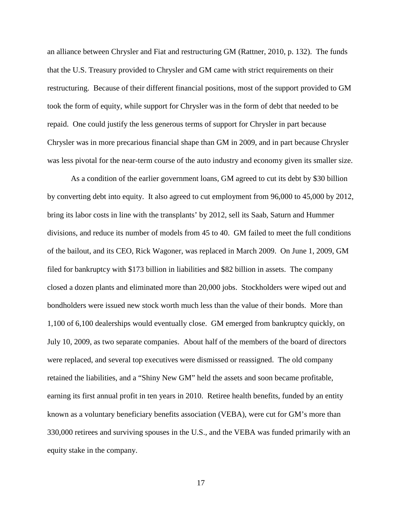an alliance between Chrysler and Fiat and restructuring GM (Rattner, 2010, p. 132). The funds that the U.S. Treasury provided to Chrysler and GM came with strict requirements on their restructuring. Because of their different financial positions, most of the support provided to GM took the form of equity, while support for Chrysler was in the form of debt that needed to be repaid. One could justify the less generous terms of support for Chrysler in part because Chrysler was in more precarious financial shape than GM in 2009, and in part because Chrysler was less pivotal for the near-term course of the auto industry and economy given its smaller size.

As a condition of the earlier government loans, GM agreed to cut its debt by \$30 billion by converting debt into equity. It also agreed to cut employment from 96,000 to 45,000 by 2012, bring its labor costs in line with the transplants' by 2012, sell its Saab, Saturn and Hummer divisions, and reduce its number of models from 45 to 40. GM failed to meet the full conditions of the bailout, and its CEO, Rick Wagoner, was replaced in March 2009. On June 1, 2009, GM filed for bankruptcy with \$173 billion in liabilities and \$82 billion in assets. The company closed a dozen plants and eliminated more than 20,000 jobs. Stockholders were wiped out and bondholders were issued new stock worth much less than the value of their bonds. More than 1,100 of 6,100 dealerships would eventually close. GM emerged from bankruptcy quickly, on July 10, 2009, as two separate companies. About half of the members of the board of directors were replaced, and several top executives were dismissed or reassigned. The old company retained the liabilities, and a "Shiny New GM" held the assets and soon became profitable, earning its first annual profit in ten years in 2010. Retiree health benefits, funded by an entity known as a voluntary beneficiary benefits association (VEBA), were cut for GM's more than 330,000 retirees and surviving spouses in the U.S., and the VEBA was funded primarily with an equity stake in the company.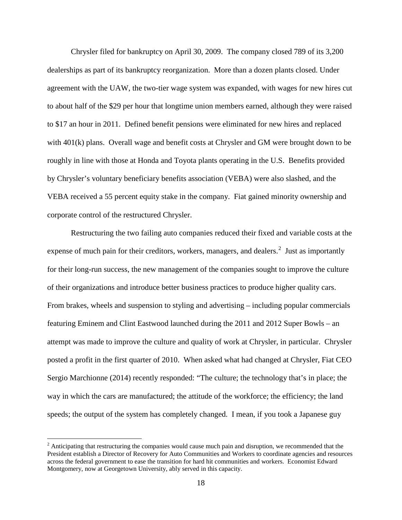Chrysler filed for bankruptcy on April 30, 2009. The company closed 789 of its 3,200 dealerships as part of its bankruptcy reorganization. More than a dozen plants closed. Under agreement with the UAW, the two-tier wage system was expanded, with wages for new hires cut to about half of the \$29 per hour that longtime union members earned, although they were raised to \$17 an hour in 2011. Defined benefit pensions were eliminated for new hires and replaced with  $401(k)$  plans. Overall wage and benefit costs at Chrysler and GM were brought down to be roughly in line with those at Honda and Toyota plants operating in the U.S. Benefits provided by Chrysler's voluntary beneficiary benefits association (VEBA) were also slashed, and the VEBA received a 55 percent equity stake in the company. Fiat gained minority ownership and corporate control of the restructured Chrysler.

Restructuring the two failing auto companies reduced their fixed and variable costs at the expense of much pain for their creditors, workers, managers, and dealers. $2$  Just as importantly for their long-run success, the new management of the companies sought to improve the culture of their organizations and introduce better business practices to produce higher quality cars. From brakes, wheels and suspension to styling and advertising – including popular commercials featuring Eminem and Clint Eastwood launched during the 2011 and 2012 Super Bowls – an attempt was made to improve the culture and quality of work at Chrysler, in particular. Chrysler posted a profit in the first quarter of 2010. When asked what had changed at Chrysler, Fiat CEO Sergio Marchionne (2014) recently responded: "The culture; the technology that's in place; the way in which the cars are manufactured; the attitude of the workforce; the efficiency; the land speeds; the output of the system has completely changed. I mean, if you took a Japanese guy

<sup>&</sup>lt;sup>2</sup> Anticipating that restructuring the companies would cause much pain and disruption, we recommended that the President establish a Director of Recovery for Auto Communities and Workers to coordinate agencies and resources across the federal government to ease the transition for hard hit communities and workers. Economist Edward Montgomery, now at Georgetown University, ably served in this capacity.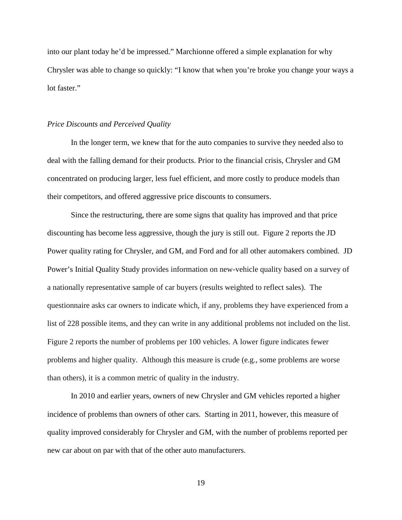into our plant today he'd be impressed." Marchionne offered a simple explanation for why Chrysler was able to change so quickly: "I know that when you're broke you change your ways a lot faster."

#### *Price Discounts and Perceived Quality*

In the longer term, we knew that for the auto companies to survive they needed also to deal with the falling demand for their products. Prior to the financial crisis, Chrysler and GM concentrated on producing larger, less fuel efficient, and more costly to produce models than their competitors, and offered aggressive price discounts to consumers.

Since the restructuring, there are some signs that quality has improved and that price discounting has become less aggressive, though the jury is still out. Figure 2 reports the JD Power quality rating for Chrysler, and GM, and Ford and for all other automakers combined. JD Power's Initial Quality Study provides information on new-vehicle quality based on a survey of a nationally representative sample of car buyers (results weighted to reflect sales). The questionnaire asks car owners to indicate which, if any, problems they have experienced from a list of 228 possible items, and they can write in any additional problems not included on the list. Figure 2 reports the number of problems per 100 vehicles. A lower figure indicates fewer problems and higher quality. Although this measure is crude (e.g., some problems are worse than others), it is a common metric of quality in the industry.

In 2010 and earlier years, owners of new Chrysler and GM vehicles reported a higher incidence of problems than owners of other cars. Starting in 2011, however, this measure of quality improved considerably for Chrysler and GM, with the number of problems reported per new car about on par with that of the other auto manufacturers.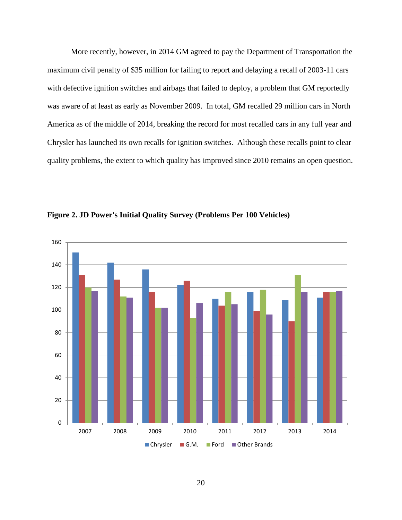More recently, however, in 2014 GM agreed to pay the Department of Transportation the maximum civil penalty of \$35 million for failing to report and delaying a recall of 2003-11 cars with defective ignition switches and airbags that failed to deploy, a problem that GM reportedly was aware of at least as early as November 2009. In total, GM recalled 29 million cars in North America as of the middle of 2014, breaking the record for most recalled cars in any full year and Chrysler has launched its own recalls for ignition switches. Although these recalls point to clear quality problems, the extent to which quality has improved since 2010 remains an open question.



**Figure 2. JD Power's Initial Quality Survey (Problems Per 100 Vehicles)**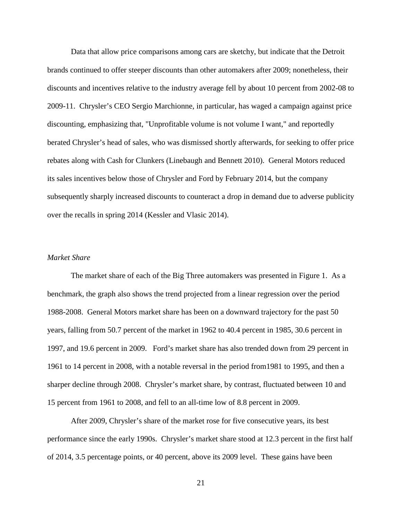Data that allow price comparisons among cars are sketchy, but indicate that the Detroit brands continued to offer steeper discounts than other automakers after 2009; nonetheless, their discounts and incentives relative to the industry average fell by about 10 percent from 2002-08 to 2009-11. Chrysler's CEO Sergio Marchionne, in particular, has waged a campaign against price discounting, emphasizing that, "Unprofitable volume is not volume I want," and reportedly berated Chrysler's head of sales, who was dismissed shortly afterwards, for seeking to offer price rebates along with Cash for Clunkers (Linebaugh and Bennett 2010). General Motors reduced its sales incentives below those of Chrysler and Ford by February 2014, but the company subsequently sharply increased discounts to counteract a drop in demand due to adverse publicity over the recalls in spring 2014 (Kessler and Vlasic 2014).

#### *Market Share*

The market share of each of the Big Three automakers was presented in Figure 1. As a benchmark, the graph also shows the trend projected from a linear regression over the period 1988-2008. General Motors market share has been on a downward trajectory for the past 50 years, falling from 50.7 percent of the market in 1962 to 40.4 percent in 1985, 30.6 percent in 1997, and 19.6 percent in 2009. Ford's market share has also trended down from 29 percent in 1961 to 14 percent in 2008, with a notable reversal in the period from1981 to 1995, and then a sharper decline through 2008. Chrysler's market share, by contrast, fluctuated between 10 and 15 percent from 1961 to 2008, and fell to an all-time low of 8.8 percent in 2009.

After 2009, Chrysler's share of the market rose for five consecutive years, its best performance since the early 1990s. Chrysler's market share stood at 12.3 percent in the first half of 2014, 3.5 percentage points, or 40 percent, above its 2009 level. These gains have been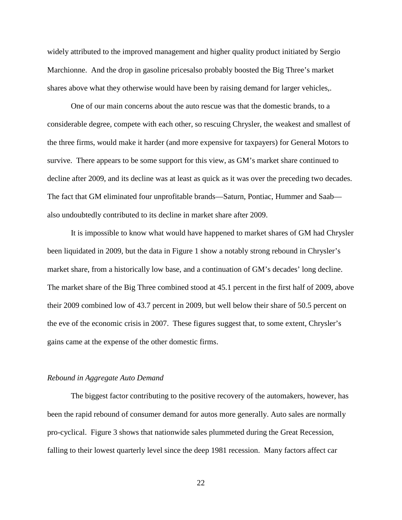widely attributed to the improved management and higher quality product initiated by Sergio Marchionne. And the drop in gasoline pricesalso probably boosted the Big Three's market shares above what they otherwise would have been by raising demand for larger vehicles,.

One of our main concerns about the auto rescue was that the domestic brands, to a considerable degree, compete with each other, so rescuing Chrysler, the weakest and smallest of the three firms, would make it harder (and more expensive for taxpayers) for General Motors to survive. There appears to be some support for this view, as GM's market share continued to decline after 2009, and its decline was at least as quick as it was over the preceding two decades. The fact that GM eliminated four unprofitable brands—Saturn, Pontiac, Hummer and Saab also undoubtedly contributed to its decline in market share after 2009.

It is impossible to know what would have happened to market shares of GM had Chrysler been liquidated in 2009, but the data in Figure 1 show a notably strong rebound in Chrysler's market share, from a historically low base, and a continuation of GM's decades' long decline. The market share of the Big Three combined stood at 45.1 percent in the first half of 2009, above their 2009 combined low of 43.7 percent in 2009, but well below their share of 50.5 percent on the eve of the economic crisis in 2007. These figures suggest that, to some extent, Chrysler's gains came at the expense of the other domestic firms.

#### *Rebound in Aggregate Auto Demand*

The biggest factor contributing to the positive recovery of the automakers, however, has been the rapid rebound of consumer demand for autos more generally. Auto sales are normally pro-cyclical. Figure 3 shows that nationwide sales plummeted during the Great Recession, falling to their lowest quarterly level since the deep 1981 recession. Many factors affect car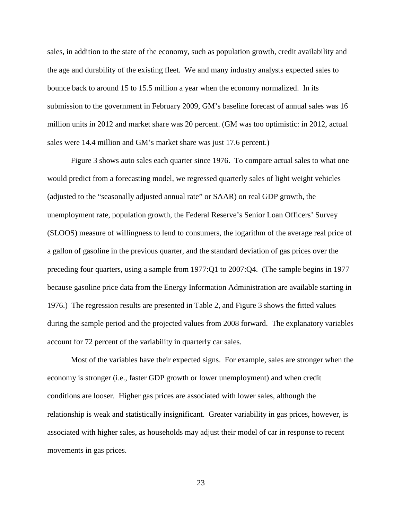sales, in addition to the state of the economy, such as population growth, credit availability and the age and durability of the existing fleet. We and many industry analysts expected sales to bounce back to around 15 to 15.5 million a year when the economy normalized. In its submission to the government in February 2009, GM's baseline forecast of annual sales was 16 million units in 2012 and market share was 20 percent. (GM was too optimistic: in 2012, actual sales were 14.4 million and GM's market share was just 17.6 percent.)

Figure 3 shows auto sales each quarter since 1976. To compare actual sales to what one would predict from a forecasting model, we regressed quarterly sales of light weight vehicles (adjusted to the "seasonally adjusted annual rate" or SAAR) on real GDP growth, the unemployment rate, population growth, the Federal Reserve's Senior Loan Officers' Survey (SLOOS) measure of willingness to lend to consumers, the logarithm of the average real price of a gallon of gasoline in the previous quarter, and the standard deviation of gas prices over the preceding four quarters, using a sample from 1977:Q1 to 2007:Q4. (The sample begins in 1977 because gasoline price data from the Energy Information Administration are available starting in 1976.) The regression results are presented in Table 2, and Figure 3 shows the fitted values during the sample period and the projected values from 2008 forward. The explanatory variables account for 72 percent of the variability in quarterly car sales.

Most of the variables have their expected signs. For example, sales are stronger when the economy is stronger (i.e., faster GDP growth or lower unemployment) and when credit conditions are looser. Higher gas prices are associated with lower sales, although the relationship is weak and statistically insignificant. Greater variability in gas prices, however, is associated with higher sales, as households may adjust their model of car in response to recent movements in gas prices.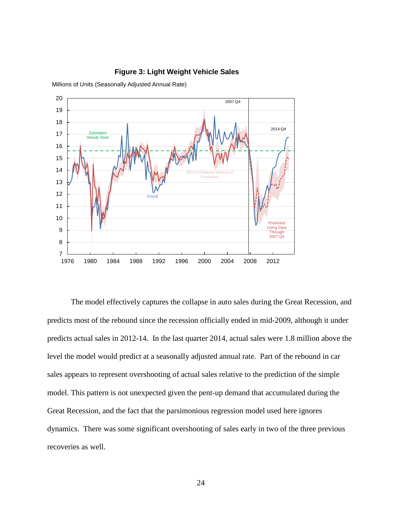

#### **Figure 3: Light Weight Vehicle Sales**

Millions of Units (Seasonally Adjusted Annual Rate)

The model effectively captures the collapse in auto sales during the Great Recession, and predicts most of the rebound since the recession officially ended in mid-2009, although it under predicts actual sales in 2012-14. In the last quarter 2014, actual sales were 1.8 million above the level the model would predict at a seasonally adjusted annual rate. Part of the rebound in car sales appears to represent overshooting of actual sales relative to the prediction of the simple model. This pattern is not unexpected given the pent-up demand that accumulated during the Great Recession, and the fact that the parsimonious regression model used here ignores dynamics. There was some significant overshooting of sales early in two of the three previous recoveries as well.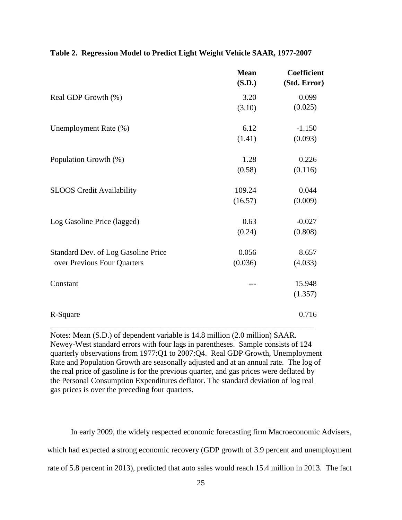|                                     | <b>Mean</b><br>(S.D.) | Coefficient<br>(Std. Error) |
|-------------------------------------|-----------------------|-----------------------------|
| Real GDP Growth (%)                 | 3.20                  | 0.099                       |
|                                     | (3.10)                | (0.025)                     |
| Unemployment Rate (%)               | 6.12                  | $-1.150$                    |
|                                     | (1.41)                | (0.093)                     |
| Population Growth (%)               | 1.28                  | 0.226                       |
|                                     | (0.58)                | (0.116)                     |
| <b>SLOOS Credit Availability</b>    | 109.24                | 0.044                       |
|                                     | (16.57)               | (0.009)                     |
| Log Gasoline Price (lagged)         | 0.63                  | $-0.027$                    |
|                                     | (0.24)                | (0.808)                     |
| Standard Dev. of Log Gasoline Price | 0.056                 | 8.657                       |
| over Previous Four Quarters         | (0.036)               | (4.033)                     |
| Constant                            | 15.948                |                             |
|                                     |                       | (1.357)                     |
| R-Square                            |                       | 0.716                       |

#### **Table 2. Regression Model to Predict Light Weight Vehicle SAAR, 1977-2007**

Notes: Mean (S.D.) of dependent variable is 14.8 million (2.0 million) SAAR. Newey-West standard errors with four lags in parentheses. Sample consists of 124 quarterly observations from 1977:Q1 to 2007:Q4. Real GDP Growth, Unemployment Rate and Population Growth are seasonally adjusted and at an annual rate. The log of the real price of gasoline is for the previous quarter, and gas prices were deflated by the Personal Consumption Expenditures deflator. The standard deviation of log real gas prices is over the preceding four quarters.

In early 2009, the widely respected economic forecasting firm Macroeconomic Advisers,

which had expected a strong economic recovery (GDP growth of 3.9 percent and unemployment

rate of 5.8 percent in 2013), predicted that auto sales would reach 15.4 million in 2013. The fact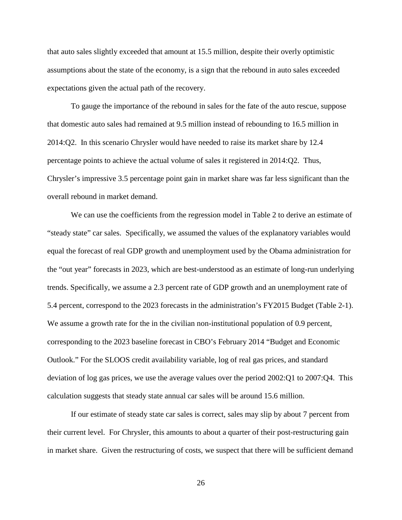that auto sales slightly exceeded that amount at 15.5 million, despite their overly optimistic assumptions about the state of the economy, is a sign that the rebound in auto sales exceeded expectations given the actual path of the recovery.

To gauge the importance of the rebound in sales for the fate of the auto rescue, suppose that domestic auto sales had remained at 9.5 million instead of rebounding to 16.5 million in 2014:Q2. In this scenario Chrysler would have needed to raise its market share by 12.4 percentage points to achieve the actual volume of sales it registered in 2014:Q2. Thus, Chrysler's impressive 3.5 percentage point gain in market share was far less significant than the overall rebound in market demand.

We can use the coefficients from the regression model in Table 2 to derive an estimate of "steady state" car sales. Specifically, we assumed the values of the explanatory variables would equal the forecast of real GDP growth and unemployment used by the Obama administration for the "out year" forecasts in 2023, which are best-understood as an estimate of long-run underlying trends. Specifically, we assume a 2.3 percent rate of GDP growth and an unemployment rate of 5.4 percent, correspond to the 2023 forecasts in the administration's FY2015 Budget (Table 2-1). We assume a growth rate for the in the civilian non-institutional population of 0.9 percent, corresponding to the 2023 baseline forecast in CBO's February 2014 "Budget and Economic Outlook." For the SLOOS credit availability variable, log of real gas prices, and standard deviation of log gas prices, we use the average values over the period 2002:Q1 to 2007:Q4. This calculation suggests that steady state annual car sales will be around 15.6 million.

If our estimate of steady state car sales is correct, sales may slip by about 7 percent from their current level. For Chrysler, this amounts to about a quarter of their post-restructuring gain in market share. Given the restructuring of costs, we suspect that there will be sufficient demand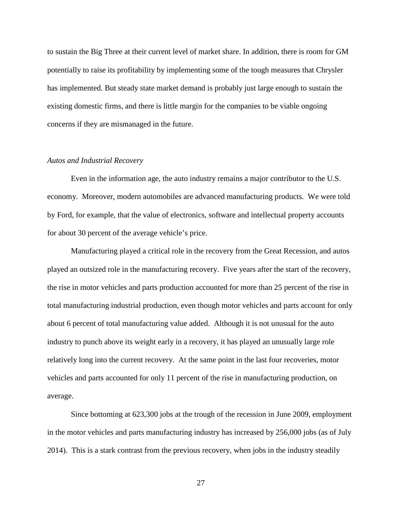to sustain the Big Three at their current level of market share. In addition, there is room for GM potentially to raise its profitability by implementing some of the tough measures that Chrysler has implemented. But steady state market demand is probably just large enough to sustain the existing domestic firms, and there is little margin for the companies to be viable ongoing concerns if they are mismanaged in the future.

#### *Autos and Industrial Recovery*

Even in the information age, the auto industry remains a major contributor to the U.S. economy. Moreover, modern automobiles are advanced manufacturing products. We were told by Ford, for example, that the value of electronics, software and intellectual property accounts for about 30 percent of the average vehicle's price.

Manufacturing played a critical role in the recovery from the Great Recession, and autos played an outsized role in the manufacturing recovery. Five years after the start of the recovery, the rise in motor vehicles and parts production accounted for more than 25 percent of the rise in total manufacturing industrial production, even though motor vehicles and parts account for only about 6 percent of total manufacturing value added. Although it is not unusual for the auto industry to punch above its weight early in a recovery, it has played an unusually large role relatively long into the current recovery. At the same point in the last four recoveries, motor vehicles and parts accounted for only 11 percent of the rise in manufacturing production, on average.

Since bottoming at 623,300 jobs at the trough of the recession in June 2009, employment in the motor vehicles and parts manufacturing industry has increased by 256,000 jobs (as of July 2014). This is a stark contrast from the previous recovery, when jobs in the industry steadily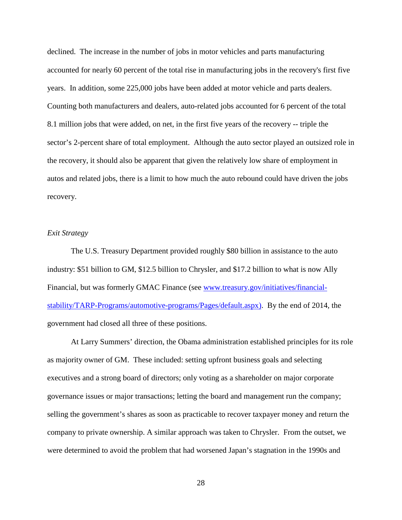declined. The increase in the number of jobs in motor vehicles and parts manufacturing accounted for nearly 60 percent of the total rise in manufacturing jobs in the recovery's first five years. In addition, some 225,000 jobs have been added at motor vehicle and parts dealers. Counting both manufacturers and dealers, auto-related jobs accounted for 6 percent of the total 8.1 million jobs that were added, on net, in the first five years of the recovery -- triple the sector's 2-percent share of total employment. Although the auto sector played an outsized role in the recovery, it should also be apparent that given the relatively low share of employment in autos and related jobs, there is a limit to how much the auto rebound could have driven the jobs recovery.

#### *Exit Strategy*

The U.S. Treasury Department provided roughly \$80 billion in assistance to the auto industry: \$51 billion to GM, \$12.5 billion to Chrysler, and \$17.2 billion to what is now Ally Financial, but was formerly GMAC Finance (see [www.treasury.gov/initiatives/financial](http://www.treasury.gov/initiatives/financial-stability/TARP-Programs/automotive-programs/Pages/default.aspx)[stability/TARP-Programs/automotive-programs/Pages/default.aspx\)](http://www.treasury.gov/initiatives/financial-stability/TARP-Programs/automotive-programs/Pages/default.aspx). By the end of 2014, the government had closed all three of these positions.

At Larry Summers' direction, the Obama administration established principles for its role as majority owner of GM. These included: setting upfront business goals and selecting executives and a strong board of directors; only voting as a shareholder on major corporate governance issues or major transactions; letting the board and management run the company; selling the government's shares as soon as practicable to recover taxpayer money and return the company to private ownership. A similar approach was taken to Chrysler. From the outset, we were determined to avoid the problem that had worsened Japan's stagnation in the 1990s and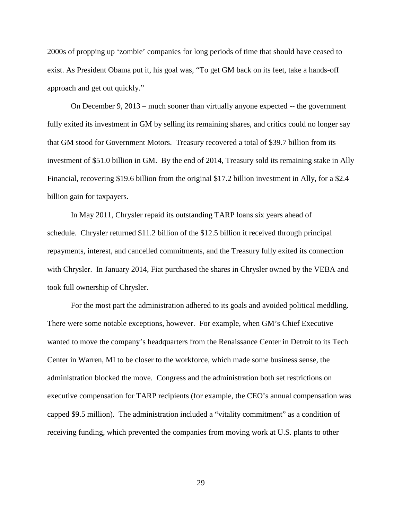2000s of propping up 'zombie' companies for long periods of time that should have ceased to exist. As President Obama put it, his goal was, "To get GM back on its feet, take a hands-off approach and get out quickly."

On December 9, 2013 – much sooner than virtually anyone expected -- the government fully exited its investment in GM by selling its remaining shares, and critics could no longer say that GM stood for Government Motors. Treasury recovered a total of \$39.7 billion from its investment of \$51.0 billion in GM. By the end of 2014, Treasury sold its remaining stake in Ally Financial, recovering \$19.6 billion from the original \$17.2 billion investment in Ally, for a \$2.4 billion gain for taxpayers.

In May 2011, Chrysler repaid its outstanding TARP loans six years ahead of schedule. Chrysler returned \$11.2 billion of the \$12.5 billion it received through principal repayments, interest, and cancelled commitments, and the Treasury fully exited its connection with Chrysler. In January 2014, Fiat purchased the shares in Chrysler owned by the VEBA and took full ownership of Chrysler.

For the most part the administration adhered to its goals and avoided political meddling. There were some notable exceptions, however. For example, when GM's Chief Executive wanted to move the company's headquarters from the Renaissance Center in Detroit to its Tech Center in Warren, MI to be closer to the workforce, which made some business sense, the administration blocked the move. Congress and the administration both set restrictions on executive compensation for TARP recipients (for example, the CEO's annual compensation was capped \$9.5 million). The administration included a "vitality commitment" as a condition of receiving funding, which prevented the companies from moving work at U.S. plants to other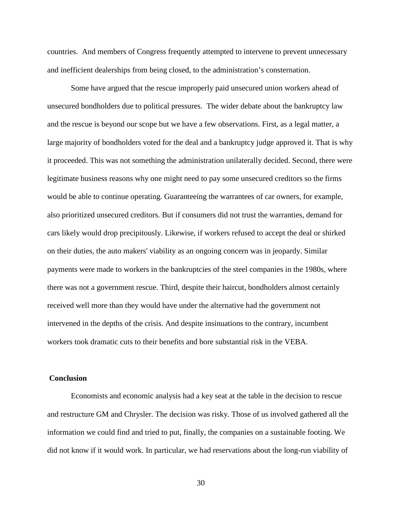countries. And members of Congress frequently attempted to intervene to prevent unnecessary and inefficient dealerships from being closed, to the administration's consternation.

Some have argued that the rescue improperly paid unsecured union workers ahead of unsecured bondholders due to political pressures. The wider debate about the bankruptcy law and the rescue is beyond our scope but we have a few observations. First, as a legal matter, a large majority of bondholders voted for the deal and a bankruptcy judge approved it. That is why it proceeded. This was not something the administration unilaterally decided. Second, there were legitimate business reasons why one might need to pay some unsecured creditors so the firms would be able to continue operating. Guaranteeing the warrantees of car owners, for example, also prioritized unsecured creditors. But if consumers did not trust the warranties, demand for cars likely would drop precipitously. Likewise, if workers refused to accept the deal or shirked on their duties, the auto makers' viability as an ongoing concern was in jeopardy. Similar payments were made to workers in the bankruptcies of the steel companies in the 1980s, where there was not a government rescue. Third, despite their haircut, bondholders almost certainly received well more than they would have under the alternative had the government not intervened in the depths of the crisis. And despite insinuations to the contrary, incumbent workers took dramatic cuts to their benefits and bore substantial risk in the VEBA.

#### **Conclusion**

Economists and economic analysis had a key seat at the table in the decision to rescue and restructure GM and Chrysler. The decision was risky. Those of us involved gathered all the information we could find and tried to put, finally, the companies on a sustainable footing. We did not know if it would work. In particular, we had reservations about the long-run viability of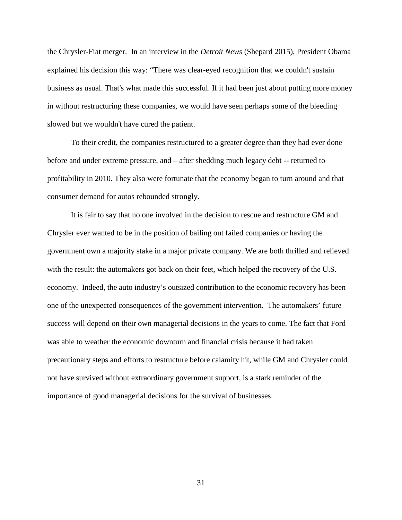the Chrysler-Fiat merger. In an interview in the *Detroit News* (Shepard 2015), President Obama explained his decision this way: "There was clear-eyed recognition that we couldn't sustain business as usual. That's what made this successful. If it had been just about putting more money in without restructuring these companies, we would have seen perhaps some of the bleeding slowed but we wouldn't have cured the patient.

To their credit, the companies restructured to a greater degree than they had ever done before and under extreme pressure, and – after shedding much legacy debt -- returned to profitability in 2010. They also were fortunate that the economy began to turn around and that consumer demand for autos rebounded strongly.

It is fair to say that no one involved in the decision to rescue and restructure GM and Chrysler ever wanted to be in the position of bailing out failed companies or having the government own a majority stake in a major private company. We are both thrilled and relieved with the result: the automakers got back on their feet, which helped the recovery of the U.S. economy. Indeed, the auto industry's outsized contribution to the economic recovery has been one of the unexpected consequences of the government intervention. The automakers' future success will depend on their own managerial decisions in the years to come. The fact that Ford was able to weather the economic downturn and financial crisis because it had taken precautionary steps and efforts to restructure before calamity hit, while GM and Chrysler could not have survived without extraordinary government support, is a stark reminder of the importance of good managerial decisions for the survival of businesses.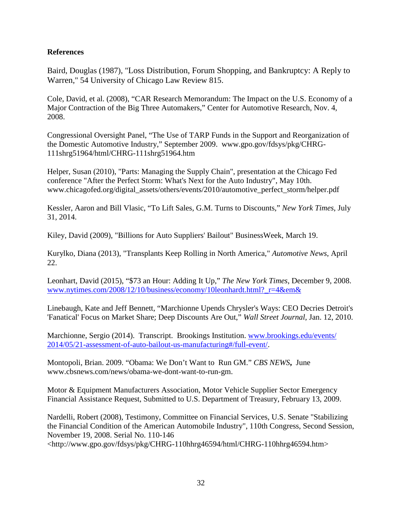#### **References**

Baird, Douglas (1987), "Loss Distribution, Forum Shopping, and Bankruptcy: A Reply to Warren," 54 University of Chicago Law Review 815.

Cole, David, et al. (2008), "CAR Research Memorandum: The Impact on the U.S. Economy of a Major Contraction of the Big Three Automakers," Center for Automotive Research, Nov. 4, 2008.

Congressional Oversight Panel, "The Use of TARP Funds in the Support and Reorganization of the Domestic Automotive Industry," September 2009. www.gpo.gov/fdsys/pkg/CHRG-111shrg51964/html/CHRG-111shrg51964.htm

Helper, Susan (2010), "Parts: Managing the Supply Chain", presentation at the Chicago Fed conference "After the Perfect Storm: What's Next for the Auto Industry", May 10th. www.chicagofed.org/digital\_assets/others/events/2010/automotive\_perfect\_storm/helper.pdf

Kessler, Aaron and Bill Vlasic, "To Lift Sales, G.M. Turns to Discounts," *New York Times*, July 31, 2014.

Kiley, David (2009), "Billions for Auto Suppliers' Bailout" BusinessWeek, March 19.

Kurylko, Diana (2013), "Transplants Keep Rolling in North America," *Automotive News*, April 22.

Leonhart, David (2015), "\$73 an Hour: Adding It Up," *The New York Times*, December 9, 2008. [www.nytimes.com/2008/12/10/business/economy/10leonhardt.html?\\_r=4&em&](http://www.nytimes.com/2008/12/10/business/economy/10leonhardt.html?_r=4&em&)

Linebaugh, Kate and Jeff Bennett, "Marchionne Upends Chrysler's Ways: CEO Decries Detroit's 'Fanatical' Focus on Market Share; Deep Discounts Are Out," *Wall Street Journal*, Jan. 12, 2010.

Marchionne, Sergio (2014). Transcript. Brookings Institution. [www.brookings.edu/events/](http://www.brookings.edu/events/%202014/05/21-assessment-of-auto-bailout-us-manufacturing#/full-event/)  [2014/05/21-assessment-of-auto-bailout-us-manufacturing#/full-event/.](http://www.brookings.edu/events/%202014/05/21-assessment-of-auto-bailout-us-manufacturing#/full-event/)

Montopoli, Brian. 2009. "Obama: We Don't Want to Run GM." *CBS NEWS***,** June www.cbsnews.com/news/obama-we-dont-want-to-run-gm.

Motor & Equipment Manufacturers Association, Motor Vehicle Supplier Sector Emergency Financial Assistance Request, Submitted to U.S. Department of Treasury, February 13, 2009.

Nardelli, Robert (2008), Testimony, Committee on Financial Services, U.S. Senate "Stabilizing the Financial Condition of the American Automobile Industry", 110th Congress, Second Session, November 19, 2008. Serial No. 110-146

<http://www.gpo.gov/fdsys/pkg/CHRG-110hhrg46594/html/CHRG-110hhrg46594.htm>